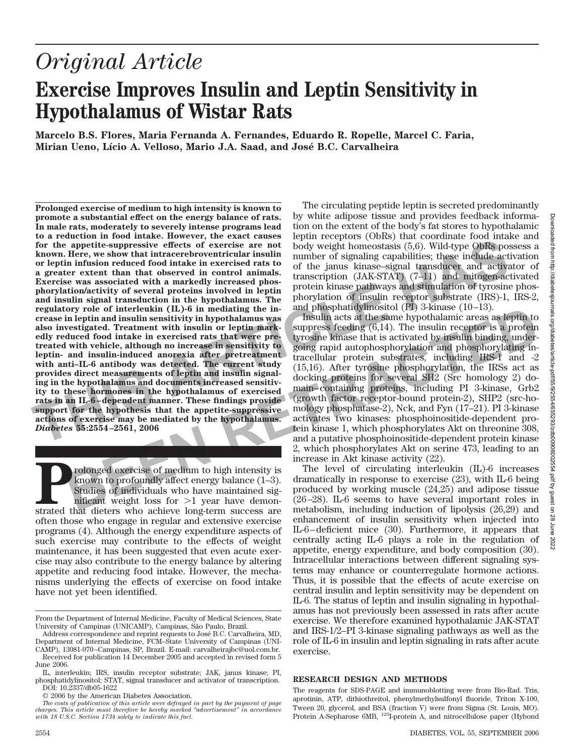# *Original Article*

# **Exercise Improves Insulin and Leptin Sensitivity in Hypothalamus of Wistar Rats**

**Marcelo B.S. Flores, Maria Fernanda A. Fernandes, Eduardo R. Ropelle, Marcel C. Faria, Mirian Ueno, Lı´cio A. Velloso, Mario J.A. Saad, and Jose´ B.C. Carvalheira**

**Prolonged exercise of medium to high intensity is known to promote a substantial effect on the energy balance of rats. In male rats, moderately to severely intense programs lead to a reduction in food intake. However, the exact causes for the appetite-suppressive effects of exercise are not known. Here, we show that intracerebroventricular insulin or leptin infusion reduced food intake in exercised rats to a greater extent than that observed in control animals. Exercise was associated with a markedly increased phosphorylation/activity of several proteins involved in leptin and insulin signal transduction in the hypothalamus. The regulatory role of interleukin (IL)-6 in mediating the increase in leptin and insulin sensitivity in hypothalamus was also investigated. Treatment with insulin or leptin markedly reduced food intake in exercised rats that were pretreated with vehicle, although no increase in sensitivity to leptin- and insulin-induced anorexia after pretreatment with anti–IL-6 antibody was detected. The current study provides direct measurements of leptin and insulin signaling in the hypothalamus and documents increased sensitivity to these hormones in the hypothalamus of exercised rats in an IL-6 – dependent manner. These findings provide support for the hypothesis that the appetite-suppressive actions of exercise may be mediated by the hypothalamus.** *Diabetes* **55:2554 –2561, 2006** for the appetite-suppressive effects of exercise are not body weight homeostasis (5,6). Wild-type OBRs poor heptin include three, we show that interacted<br>provides are not body weight homeostasis (5,6). Wild-type OBRs poor **R**

**Prolonged exercise of medium to high intensity is**<br>known to profoundly affect energy balance (1–3).<br>Studies of individuals who have maintained significant weight loss for >1 year have demonstrated that dieters who achieve known to profoundly affect energy balance (1–3). Studies of individuals who have maintained significant weight loss for  $>1$  year have demonoften those who engage in regular and extensive exercise programs (4). Although the energy expenditure aspects of such exercise may contribute to the effects of weight maintenance, it has been suggested that even acute exercise may also contribute to the energy balance by altering appetite and reducing food intake. However, the mechanisms underlying the effects of exercise on food intake have not yet been identified.

© 2006 by the American Diabetes Association.

The circulating peptide leptin is secreted predominantly by white adipose tissue and provides feedback information on the extent of the body's fat stores to hypothalamic leptin receptors (ObRs) that coordinate food intake and body weight homeostasis (5,6). Wild-type ObRs possess a number of signaling capabilities; these include activation of the janus kinase–signal transducer and activator of transcription (JAK-STAT) (7–11) and mitogen-activated protein kinase pathways and stimulation of tyrosine phosphorylation of insulin receptor substrate (IRS)-1, IRS-2, and phosphatidylinositol (PI) 3-kinase (10–13).

Insulin acts at the same hypothalamic areas as leptin to suppress feeding (6,14). The insulin receptor is a protein tyrosine kinase that is activated by insulin binding, undergoing rapid autophosphorylation and phosphorylating intracellular protein substrates, including IRS-1 and -2 (15,16). After tyrosine phosphorylation, the IRSs act as docking proteins for several SH2 (Src homology 2) domain–containing proteins, including PI 3-kinase, Grb2 (growth factor receptor-bound protein-2), SHP2 (src-homology phosphatase-2), Nck, and Fyn (17–21). PI 3-kinase activates two kinases: phosphoinositide-dependent protein kinase 1, which phosphorylates Akt on threonine 308, and a putative phosphoinositide-dependent protein kinase 2, which phosphorylates Akt on serine 473, leading to an increase in Akt kinase activity (22). For pole of interleating the in-state in the interleating the interleating the interleating the interleating the interleating the interleating the interleating interleating the interleating of the interleating interleating

The level of circulating interleukin (IL)-6 increases dramatically in response to exercise (23), with IL-6 being produced by working muscle (24,25) and adipose tissue (26–28). IL-6 seems to have several important roles in metabolism, including induction of lipolysis (26,29) and enhancement of insulin sensitivity when injected into IL-6–deficient mice (30). Furthermore, it appears that centrally acting IL-6 plays a role in the regulation of appetite, energy expenditure, and body composition (30). Intracellular interactions between different signaling systems may enhance or counterregulate hormone actions. Thus, it is possible that the effects of acute exercise on central insulin and leptin sensitivity may be dependent on IL-6. The status of leptin and insulin signaling in hypothalamus has not previously been assessed in rats after acute exercise. We therefore examined hypothalamic JAK-STAT and IRS-1/2–PI 3-kinase signaling pathways as well as the role of IL-6 in insulin and leptin signaling in rats after acute exercise.

### **RESEARCH DESIGN AND METHODS**

The reagents for SDS-PAGE and immunoblotting were from Bio-Rad. Tris, aprotinin, ATP, dithiothreitol, phenylmethylsulfonyl fluoride, Triton X-100, Tween 20, glycerol, and BSA (fraction V) were from Sigma (St. Louis, MO). Protein A-Sepharose 6MB, 125I-protein A, and nitrocellulose paper (Hybond

From the Department of Internal Medicine, Faculty of Medical Sciences, State University of Campinas (UNICAMP), Campinas, São Paulo, Brazil.

Address correspondence and reprint requests to Jose´ B.C. Carvalheira, MD, Department of Internal Medicine, FCM–State University of Campinas (UNI-

CAMP), 13081-970–Campinas, SP, Brazil. E-mail: carvalheirajbc@uol.com.br. Received for publication 14 December 2005 and accepted in revised form 5 June 2006.

IL, interleukin; IRS, insulin receptor substrate; JAK, janus kinase; PI, phosphatidylinositol; STAT, signal transducer and activator of transcription. DOI: 10.2337/db05-1622

*The costs of publication of this article were defrayed in part by the payment of page charges. This article must therefore be hereby marked "advertisement" in accordance with 18 U.S.C. Section 1734 solely to indicate this fact.*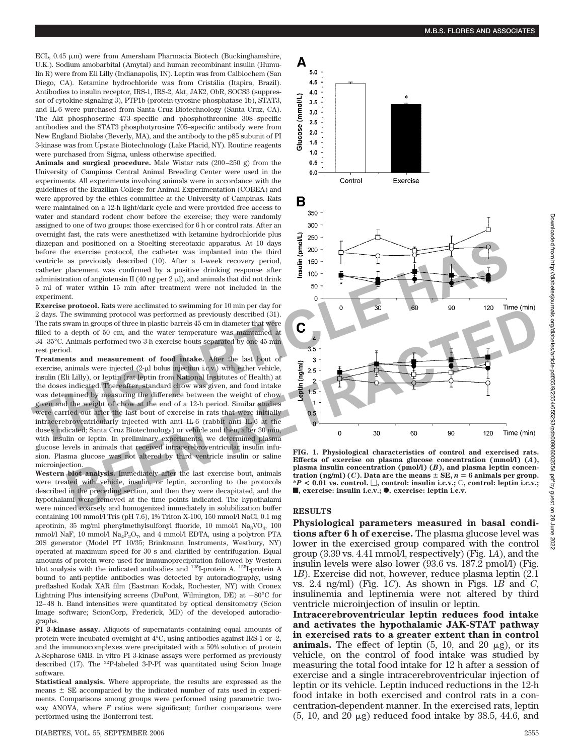ECL, 0.45 μm) were from Amersham Pharmacia Biotech (Buckinghamshire, U.K.). Sodium amobarbital (Amytal) and human recombinant insulin (Humulin R) were from Eli Lilly (Indianapolis, IN). Leptin was from Calbiochem (San Diego, CA). Ketamine hydrochloride was from Cristália (Itapira, Brazil). Antibodies to insulin receptor, IRS-1, IRS-2, Akt, JAK2, ObR, SOCS3 (suppressor of cytokine signaling 3), PTP1b (protein-tyrosine phosphatase 1b), STAT3, and IL-6 were purchased from Santa Cruz Biotechnology (Santa Cruz, CA). The Akt phosphoserine 473–specific and phosphothreonine 308–specific antibodies and the STAT3 phosphotyrosine 705–specific antibody were from New England Biolabs (Beverly, MA), and the antibody to the p85 subunit of PI 3-kinase was from Upstate Biotechnology (Lake Placid, NY). Routine reagents were purchased from Sigma, unless otherwise specified.

**Animals and surgical procedure.** Male Wistar rats (200–250 g) from the University of Campinas Central Animal Breeding Center were used in the experiments. All experiments involving animals were in accordance with the guidelines of the Brazilian College for Animal Experimentation (COBEA) and were approved by the ethics committee at the University of Campinas. Rats were maintained on a 12-h light/dark cycle and were provided free access to water and standard rodent chow before the exercise; they were randomly assigned to one of two groups: those exercised for 6 h or control rats. After an overnight fast, the rats were anesthetized with ketamine hydrochloride plus diazepan and positioned on a Stoelting stereotaxic apparatus. At 10 days before the exercise protocol, the catheter was implanted into the third ventricle as previously described (10). After a 1-week recovery period, catheter placement was confirmed by a positive drinking response after administration of angiotensin II (40 ng per  $2 \mu$ ), and animals that did not drink 5 ml of water within 15 min after treatment were not included in the experiment.

**Exercise protocol.** Rats were acclimated to swimming for 10 min per day for 2 days. The swimming protocol was performed as previously described (31). The rats swam in groups of three in plastic barrels 45 cm in diameter that were filled to a depth of 50 cm, and the water temperature was maintained at 34–35°C. Animals performed two 3-h exercise bouts separated by one 45-min rest period.

**Treatments and measurement of food intake.** After the last bout of exercise, animals were injected (2-µl bolus injection i.c.v.) with either vehicle, insulin (Eli Lilly), or leptin (rat leptin from National Institutes of Health) at the doses indicated. Thereafter, standard chow was given, and food intake was determined by measuring the difference between the weight of chow given and the weight of chow at the end of a 12-h period. Similar studies were carried out after the last bout of exercise in rats that were initially intracerebroventricularly injected with anti–IL-6 (rabbit anti–IL-6 at the doses indicated; Santa Cruz Biotechnology) or vehicle and then, after 30 min, with insulin or leptin. In preliminary experiments, we determined plasma glucose levels in animals that received intracerebroventricular insulin infusion. Plasma glucose was not altered by third ventricle insulin or saline microinjection. **EXERCIST THE CONSULTER CONTROLLER CONTROLLER CONTROLLER CONTROLLER CONTROLLER CONTROLLER CONTROLLER CONTROLLER CONTROLLER CONTROLLER CONTROLLER CONTROLLER CONTROLLER CONTROLLER CONTROLLER CONTROLLER CONTROLLER CONTROLLER** that were initiant<br>it anti-IL-6 at<br>then, after 30<br>determined plate<br>icular insulin

**Western blot analysis.** Immediately after the last exercise bout, animals were treated with vehicle, insulin, or leptin, according to the protocols described in the preceding section, and then they were decapitated, and the hypothalami were removed at the time points indicated. The hypothalami were minced coarsely and homogenized immediately in solubilization buffer containing 100 mmol/l Tris (pH 7.6), 1% Triton X-100, 150 mmol/l NaCl, 0.1 mg aprotinin, 35 mg/ml phenylmethylsulfonyl fluoride, 10 mmol/l  $\text{Na}_3\text{VO}_4$ , 100 mmol/l NaF, 10 mmol/l Na<sub>4</sub>P<sub>2</sub>O<sub>7</sub>, and 4 mmol/l EDTA, using a polytron PTA 20S generator (Model PT 10/35; Brinkmann Instruments, Westbury, NY) operated at maximum speed for 30 s and clarified by centrifugation. Equal amounts of protein were used for immunoprecipitation followed by Western blot analysis with the indicated antibodies and 125I-protein A. 125I-protein A bound to anti-peptide antibodies was detected by autoradiography, using preflashed Kodak XAR film (Eastman Kodak, Rochester, NY) with Cronex Lightning Plus intensifying screens (DuPont, Wilmington, DE) at  $-80^{\circ}$ C for 12–48 h. Band intensities were quantitated by optical densitometry (Scion Image software; ScionCorp, Frederick, MD) of the developed autoradiographs.

**PI 3-kinase assay.** Aliquots of supernatants containing equal amounts of protein were incubated overnight at 4°C, using antibodies against IRS-1 or -2, and the immunocomplexes were precipitated with a 50% solution of protein A-Sepharose 6MB. In vitro PI 3-kinase assays were performed as previously described  $(17)$ . The <sup>32</sup>P-labeled 3-P-PI was quantitated using Scion Image software.

**Statistical analysis.** Where appropriate, the results are expressed as the means  $\pm$  SE accompanied by the indicated number of rats used in experiments. Comparisons among groups were performed using parametric twoway ANOVA, where  $F$  ratios were significant; further comparisons were performed using the Bonferroni test.



**FIG. 1. Physiological characteristics of control and exercised rats. Effects of exercise on plasma glucose concentration (mmol/l) (***A***), plasma insulin concentration (pmol/l) (***B***), and plasma leptin concentration (ng/ml) (***C***). Data are the means**  $\pm$  **SE,**  $n = 6$  **animals per group.**  $*P < 0.01$  vs. control.  $\Box$ , control: insulin i.c.v.;  $\odot$ , control: leptin i.c.v.;  $\blacksquare$ **, exercise: insulin i.c.v.;**  $\lozenge$ , exercise: leptin i.c.v.

#### **RESULTS**

Α  $5.0$ 4.5 4.0

(mmol/L)  $3.5$  $3.0$  $2.5$ 

Glucose  $2.0$ 1.5  $1.0$  $0.5$  $0.0$ 

В 350

300

**Physiological parameters measured in basal conditions after 6 h of exercise.** The plasma glucose level was lower in the exercised group compared with the control group (3.39 vs. 4.41 mmol/l, respectively) (Fig. 1*A*), and the insulin levels were also lower (93.6 vs. 187.2 pmol/l) (Fig. 1*B*). Exercise did not, however, reduce plasma leptin (2.1 vs. 2.4 ng/ml) (Fig. 1*C*). As shown in Figs. 1*B* and *C*, insulinemia and leptinemia were not altered by third ventricle microinjection of insulin or leptin.

**Intracerebroventricular leptin reduces food intake and activates the hypothalamic JAK-STAT pathway in exercised rats to a greater extent than in control animals.** The effect of leptin  $(5, 10, \text{ and } 20 \mu \text{g})$ , or its vehicle, on the control of food intake was studied by measuring the total food intake for 12 h after a session of exercise and a single intracerebroventricular injection of leptin or its vehicle. Leptin induced reductions in the 12-h food intake in both exercised and control rats in a concentration-dependent manner. In the exercised rats, leptin  $(5, 10, \text{ and } 20 \mu \text{g})$  reduced food intake by 38.5, 44.6, and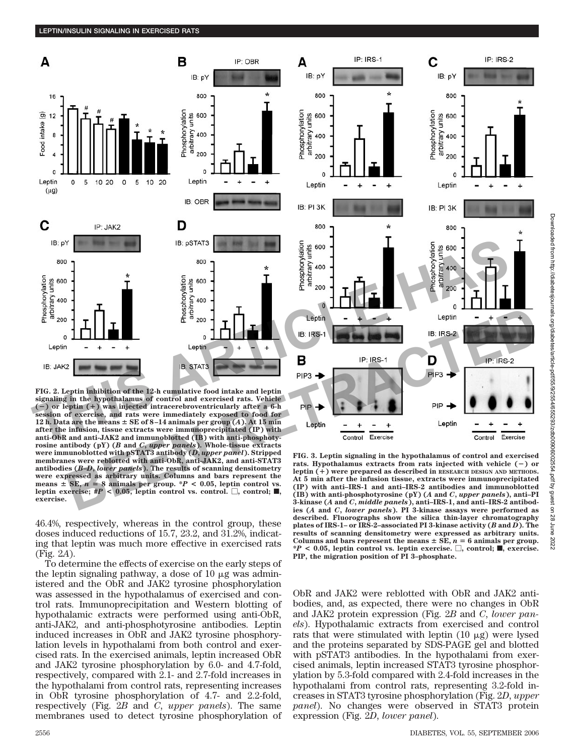

**FIG. 2. Leptin inhibition of the 12-h cumulative food intake and leptin signaling in the hypothalamus of control and exercised rats. Vehicle** ( $\equiv$ ) or leptin ( $\pm$ ) was injected intracerebroventricularly after a 6-h<br>
session of exercise, and rats were immediately exposed to food for<br>
12 h, Data are the means  $\pm$  SE of 8-14 animals per group (A). At 15 min<br>
af 12 h. Data are the means  $\pm$  SE of 8-14 animals per group  $(A)$ . At 15 min **after the infusion, tissue extracts were immunoprecipitated (IP) with anti-ObR and anti-JAK2 and immunoblotted (IB) with anti-phosphotyrosine antibody (pY) (***B* **and** *C***,** *upper panels***). Whole-tissue extracts were immunoblotted with pSTAT3 antibody (***D***,** *upper panel***). Stripped membranes were reblotted with anti-ObR, anti-JAK2, and anti-STAT3 antibodies (***B***–***D***,** *lower panels***). The results of scanning densitometry were expressed as arbitrary units. Columns and bars represent the** means  $\pm$  SE,  $n = 8$  animals per group. \**P* < 0.05, leptin control vs. leptin exercise;  $#P < 0.05$ , leptin control vs. control.  $\Box$ , control;  $\blacksquare$ , **exercise.**

46.4%, respectively, whereas in the control group, these doses induced reductions of 15.7, 23.2, and 31.2%, indicating that leptin was much more effective in exercised rats (Fig. 2*A*).

To determine the effects of exercise on the early steps of the leptin signaling pathway, a dose of  $10 \mu$ g was administered and the ObR and JAK2 tyrosine phosphorylation was assessed in the hypothalamus of exercised and control rats. Immunoprecipitation and Western blotting of hypothalamic extracts were performed using anti-ObR, anti-JAK2, and anti-phosphotyrosine antibodies. Leptin induced increases in ObR and JAK2 tyrosine phosphorylation levels in hypothalami from both control and exercised rats. In the exercised animals, leptin increased ObR and JAK2 tyrosine phosphorylation by 6.0- and 4.7-fold, respectively, compared with 2.1- and 2.7-fold increases in the hypothalami from control rats, representing increases in ObR tyrosine phosphorylation of 4.7- and 2.2-fold, respectively (Fig. 2*B* and *C*, *upper panels*). The same membranes used to detect tyrosine phosphorylation of



Downloaded from http://diabetesjournals.org/diabetes/article-pdf/55/9/2554/655293/zdb00906002554.pdf by guest on 28 June 2022

 $\overline{28}$ June 2022

**FIG. 3. Leptin signaling in the hypothalamus of control and exercised rats. Hypothalamus extracts from rats injected with vehicle () or leptin () were prepared as described in RESEARCH DESIGN AND METHODS. At 5 min after the infusion tissue, extracts were immunoprecipitated (IP) with anti–IRS-1 and anti–IRS-2 antibodies and immunoblotted (IB) with anti-phosphotyrosine (pY) (***A* **and** *C***,** *upper panels***), anti–PI 3-kinase (***A* **and** *C***,** *middle panels***), anti–IRS-1, and anti–IRS-2 antibodies (***A* **and** *C***,** *lower panels***). PI 3-kinase assays were performed as described. Fluorographs show the silica thin-layer chromatography plates of IRS-1– or IRS-2–associated PI 3-kinase activity (***B* **and** *D***). The results of scanning densitometry were expressed as arbitrary units.** Columns and bars represent the means  $\pm$  SE,  $n = 6$  animals per group.  $*P < 0.05$ , leptin control vs. leptin exercise.  $\Box$ , control;  $\blacksquare$ , exercise. **PIP, the migration position of PI 3–phosphate.**

ObR and JAK2 were reblotted with ObR and JAK2 antibodies, and, as expected, there were no changes in ObR and JAK2 protein expression (Fig. 2*B* and *C*, *lower panels*). Hypothalamic extracts from exercised and control rats that were stimulated with leptin  $(10 \mu g)$  were lysed and the proteins separated by SDS-PAGE gel and blotted with pSTAT3 antibodies. In the hypothalami from exercised animals, leptin increased STAT3 tyrosine phosphorylation by 5.3-fold compared with 2.4-fold increases in the hypothalami from control rats, representing 3.2-fold increases in STAT3 tyrosine phosphorylation (Fig. 2*D*, *upper panel*). No changes were observed in STAT3 protein expression (Fig. 2*D*, *lower panel*).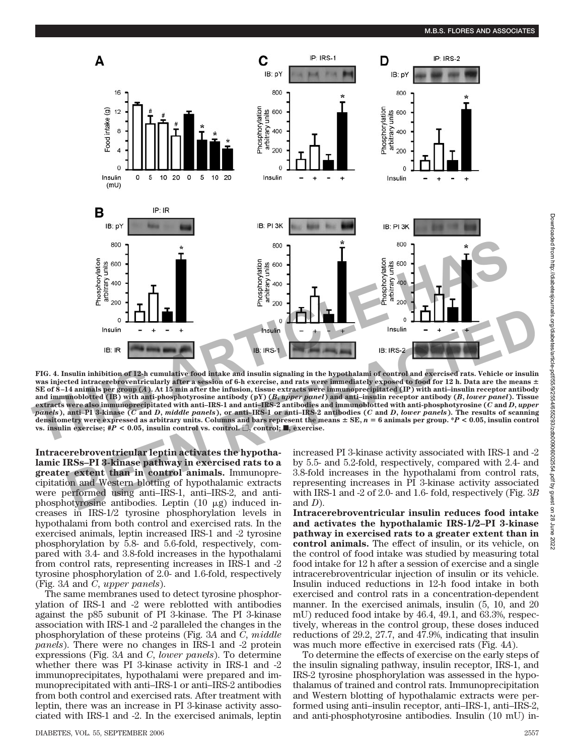

**FIG. 4. Insulin inhibition of 12-h cumulative food intake and insulin signaling in the hypothalami of control and exercised rats. Vehicle or insulin was injected intracerebroventricularly after a session of 6-h exercise, and rats were immediately exposed to food for 12 h. Data are the means SE of 8 –14 animals per group (***A***). At 15 min after the infusion, tissue extracts were immunoprecipitated (IP) with anti–insulin receptor antibody and immunoblotted (IB) with anti-phosphotyrosine antibody (pY) (***B***,** *upper panel***) and anti–insulin receptor antibody (***B***,** *lower panel***). Tissue extracts were also immunoprecipitated with anti–IRS-1 and anti–IRS-2 antibodies and immunoblotted with anti-phosphotyrosine (***C* **and** *D***,** *upper* panels), anti-PI 3-kinase (C and D, middle panels), or anti-IRS-1 or anti-IRS-2 antibodies (C and D, lower panels). The results of scanning **densitometry were expressed as arbitrary units. Columns and bars represent the means SE,** *n* - **6 animals per group. \****P* **< 0.05, insulin control vs. insulin exercise;**  $#P < 0.05$ **, insulin control vs. control.**  $\Box$ **, control;**  $\Box$ **, exercise. BERECULAR CONFERENCE ASSAULTED**<br> **BERCEL ASSAULTED**<br> **BERCE ASSAULTED**<br> **BERCE ASSAULTED**<br> **BERCE ASSAULTED**<br> **BERCE ASSAULTED**<br> **BERCE ASSAULTED**<br> **BERCE ASSAULTED**<br> **ETRACTED**<br> **ETRACTED**<br> **ETRACTED**<br> **ETRACTED**<br> **ETRA R**

**Intracerebroventricular leptin activates the hypotha lamic IRSs–PI 3-kinase pathway in exercised rats to a greater extent than in control animals.** Immunoprecipitation and Western blotting of hypothalamic extracts were performed using anti–IRS-1, anti–IRS-2, and antiphosphotyrosine antibodies. Leptin  $(10 \mu g)$  induced increases in IRS-1/2 tyrosine phosphorylation levels in hypothalami from both control and exercised rats. In the exercised animals, leptin increased IRS-1 and -2 tyrosine phosphorylation by 5.8- and 5.6-fold, respectively, compared with 3.4- and 3.8-fold increases in the hypothalami from control rats, representing increases in IRS-1 and -2 tyrosine phosphorylation of 2.0- and 1.6-fold, respectively (Fig. 3*A* and *C*, *upper panels*).

The same membranes used to detect tyrosine phosphorylation of IRS-1 and -2 were reblotted with antibodies against the p85 subunit of PI 3-kinase. The PI 3-kinase association with IRS-1 and -2 paralleled the changes in the phosphorylation of these proteins (Fig. 3*A* and *C*, *middle panels*). There were no changes in IRS-1 and -2 protein expressions (Fig. 3*A* and *C*, *lower panels*). To determine whether there was PI 3-kinase activity in IRS-1 and -2 immunoprecipitates, hypothalami were prepared and immunoprecipitated with anti–IRS-1 or anti–IRS-2 antibodies from both control and exercised rats. After treatment with leptin, there was an increase in PI 3-kinase activity associated with IRS-1 and -2. In the exercised animals, leptin

DIABETES, VOL. 55, SEPTEMBER 2006 2557

increased PI 3-kinase activity associated with IRS-1 and -2 by 5.5- and 5.2-fold, respectively, compared with 2.4- and 3.8-fold increases in the hypothalami from control rats, representing increases in PI 3-kinase activity associated with IRS-1 and -2 of 2.0- and 1.6- fold, respectively (Fig. 3*B* and *D*).

**Intracerebroventricular insulin reduces food intake and activates the hypothalamic IRS-1/2–PI 3-kinase pathway in exercised rats to a greater extent than in control animals.** The effect of insulin, or its vehicle, on the control of food intake was studied by measuring total food intake for 12 h after a session of exercise and a single intracerebroventricular injection of insulin or its vehicle. Insulin induced reductions in 12-h food intake in both exercised and control rats in a concentration-dependent manner. In the exercised animals, insulin (5, 10, and 20 mU) reduced food intake by 46.4, 49.1, and 63.3%, respectively, whereas in the control group, these doses induced reductions of 29.2, 27.7, and 47.9%, indicating that insulin was much more effective in exercised rats (Fig. 4*A*).

To determine the effects of exercise on the early steps of the insulin signaling pathway, insulin receptor, IRS-1, and IRS-2 tyrosine phosphorylation was assessed in the hypothalamus of trained and control rats. Immunoprecipitation and Western blotting of hypothalamic extracts were performed using anti–insulin receptor, anti–IRS-1, anti–IRS-2, and anti-phosphotyrosine antibodies. Insulin (10 mU) in-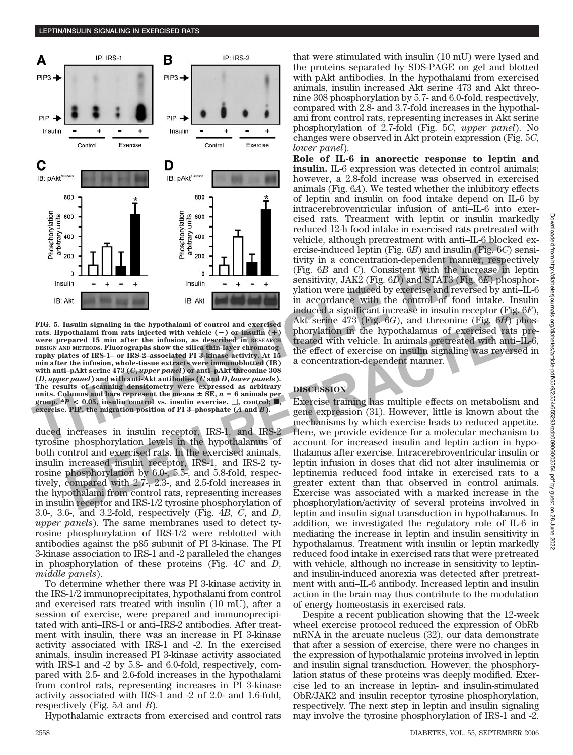

**FIG. 5. Insulin signaling in the hypothalami of control and exercised** rats. Hypothalami from rats injected with vehicle  $(-)$  or insulin  $(+)$ **were prepared 15 min after the infusion, as described in RESEARCH DESIGN AND METHODS. Fluorographs show the silica thin-layer chromatography plates of IRS-1– or IRS-2–associated PI 3-kinase activity. At 15 min after the infusion, whole-tissue extracts were immunoblotted (IB) with anti–pAkt serine 473 (***C***,** *upper panel***) or anti–pAkt threonine 308 (***D***,** *upper panel***) and with anti-Akt antibodies (***C* **and** *D***,** *lower panels***). The results of scanning densitometry were expressed as arbitrary** units. Columns and bars represent the means  $\pm$  SE,  $n = 6$  animals per **group.**  $*P < 0.05$ , insulin control vs. insulin exercise.  $\Box$ , control;  $\blacksquare$ **exercise. PIP, the migration position of PI 3–phosphate (***A* **and** *B***).**

duced increases in insulin receptor, IRS-1, and IRS-2 exercise. PIP, the migration position of PI 3-phosphate (*A* and *B*).<br>
duced increases in insulin receptor, IRS-1, and IRS-2<br>
tyrosine phosphorylation levels in the hypothalamus of<br>
hoth control and exercised rats. In the both control and exercised rats. In the exercised animals, insulin increased insulin receptor, IRS-1, and IRS-2 tyrosine phosphorylation by 6.0-, 5.5-, and 5.8-fold, respectively, compared with 2.7-, 2.3-, and 2.5-fold increases in the hypothalami from control rats, representing increases in insulin receptor and IRS-1/2 tyrosine phosphorylation of 3.0-, 3.6-, and 3.2-fold, respectively (Fig. 4*B*, *C*, and *D*, *upper panels*). The same membranes used to detect tyrosine phosphorylation of IRS-1/2 were reblotted with antibodies against the p85 subunit of PI 3-kinase. The PI 3-kinase association to IRS-1 and -2 paralleled the changes in phosphorylation of these proteins (Fig. 4*C* and *D*, *middle panels*).

To determine whether there was PI 3-kinase activity in the IRS-1/2 immunoprecipitates, hypothalami from control and exercised rats treated with insulin (10 mU), after a session of exercise, were prepared and immunoprecipitated with anti–IRS-1 or anti–IRS-2 antibodies. After treatment with insulin, there was an increase in PI 3-kinase activity associated with IRS-1 and -2. In the exercised animals, insulin increased PI 3-kinase activity associated with IRS-1 and -2 by 5.8- and 6.0-fold, respectively, compared with 2.5- and 2.6-fold increases in the hypothalami from control rats, representing increases in PI 3-kinase activity associated with IRS-1 and -2 of 2.0- and 1.6-fold, respectively (Fig. 5*A* and *B*).

Hypothalamic extracts from exercised and control rats

that were stimulated with insulin (10 mU) were lysed and the proteins separated by SDS-PAGE on gel and blotted with pAkt antibodies. In the hypothalami from exercised animals, insulin increased Akt serine 473 and Akt threonine 308 phosphorylation by 5.7- and 6.0*-*fold, respectively, compared with 2.8- and 3.7*-*fold increases in the hypothalami from control rats, representing increases in Akt serine phosphorylation of 2.7-fold (Fig. 5*C*, *upper panel*). No changes were observed in Akt protein expression (Fig. 5*C*, *lower panel*).

**Role of IL-6 in anorectic response to leptin and insulin.** IL-6 expression was detected in control animals; however, a 2.8-fold increase was observed in exercised animals (Fig. 6*A*). We tested whether the inhibitory effects of leptin and insulin on food intake depend on IL-6 by intracerebroventricular infusion of anti–IL-6 into exercised rats. Treatment with leptin or insulin markedly reduced 12-h food intake in exercised rats pretreated with vehicle, although pretreatment with anti–IL-6 blocked exercise-induced leptin (Fig. 6*B*) and insulin (Fig. 6*C*) sensitivity in a concentration-dependent manner, respectively (Fig. 6*B* and *C*). Consistent with the increase in leptin sensitivity, JAK2 (Fig. 6*D*) and STAT3 (Fig. 6*E*) phosphorylation were induced by exercise and reversed by anti–IL-6 in accordance with the control of food intake. Insulin induced a significant increase in insulin receptor (Fig. 6*F*), Akt serine 473 (Fig. 6*G*), and threonine (Fig. 6*H*) phosphorylation in the hypothalamus of exercised rats pretreated with vehicle. In animals pretreated with anti–IL-6, the effect of exercise on insulin signaling was reversed in a concentration-dependent manner. **EVALUAT SET AND SET AND SET AND SET AND SET AND SET AND SET AND SET AND SET AND SET AND SET AND SET AND SET AND SET AND SET AND SET AND SET AND SET AND SET AND SET AND SET AND SET AND SET AND SET AND SET AND SET AND SET** 

# **DISCUSSION**

Exercise training has multiple effects on metabolism and gene expression (31). However, little is known about the mechanisms by which exercise leads to reduced appetite. Here, we provide evidence for a molecular mechanism to account for increased insulin and leptin action in hypothalamus after exercise. Intracerebroventricular insulin or leptin infusion in doses that did not alter insulinemia or leptinemia reduced food intake in exercised rats to a greater extent than that observed in control animals. Exercise was associated with a marked increase in the phosphorylation/activity of several proteins involved in leptin and insulin signal transduction in hypothalamus. In addition, we investigated the regulatory role of IL-6 in mediating the increase in leptin and insulin sensitivity in hypothalamus. Treatment with insulin or leptin markedly reduced food intake in exercised rats that were pretreated with vehicle, although no increase in sensitivity to leptinand insulin-induced anorexia was detected after pretreatment with anti–IL-6 antibody. Increased leptin and insulin action in the brain may thus contribute to the modulation of energy homeostasis in exercised rats. **BEGINS THE EVALUATION** in the hypothalami of control and exercised as significant increase in insulin receptor (Fig. 6.6%), and three control and exercised vith vehicle ( $\rightarrow$ ) or insulin ( $\rightarrow$ ) photoplation in the hypoth

Despite a recent publication showing that the 12-week wheel exercise protocol reduced the expression of ObRb mRNA in the arcuate nucleus (32), our data demonstrate that after a session of exercise, there were no changes in the expression of hypothalamic proteins involved in leptin and insulin signal transduction. However, the phosphorylation status of these proteins was deeply modified. Exercise led to an increase in leptin- and insulin-stimulated ObR/JAK2 and insulin receptor tyrosine phosphorylation, respectively. The next step in leptin and insulin signaling may involve the tyrosine phosphorylation of IRS-1 and -2.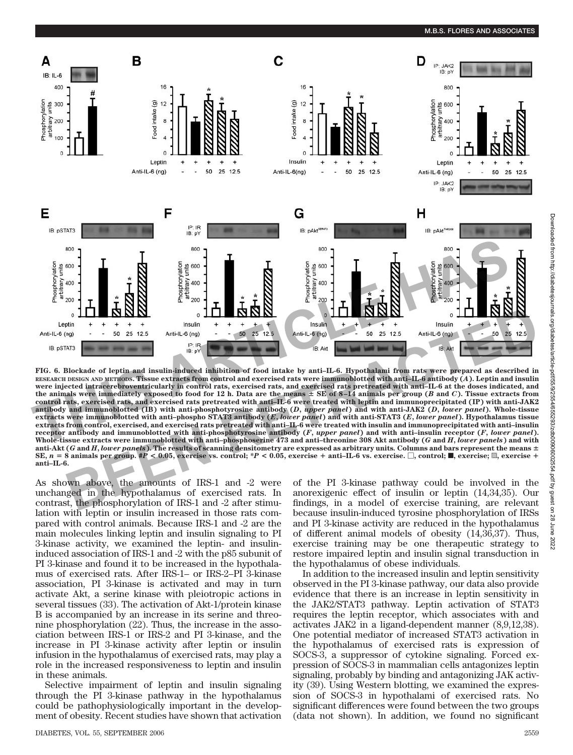

**FIG. 6. Blockade of leptin and insulin-induced inhibition of food intake by anti–IL-6. Hypothalami from rats were prepared as described in RESEARCH DESIGN AND METHODS. Tissue extracts from control and exercised rats were immunoblotted with anti–IL-6 antibody (***A***). Leptin and insulin were injected intracerebroventricularly in control rats, exercised rats, and exercised rats pretreated with anti–IL-6 at the doses indicated, and** the animals were immediately exposed to food for 12 h. Data are the means  $\pm$  SE of  $\pm$ -14 animals per group (*B* and *C*). Tissue extracts from **control rats, exercised rats, and exercised rats pretreated with anti–IL-6 were treated with leptin and immunoprecipitated (IP) with anti-JAK2 antibody and immunoblotted (IB) with anti-phosphotyrosine antibody (***D***,** *upper panel***) and with anti-JAK2 (***D***,** *lower panel***). Whole-tissue extracts were immunoblotted with anti–phospho STAT3 antibody (***E***,** *lower panel***) and with anti-STAT3 (***E***,** *lower panel***). Hypothalamus tissue extracts from control, exercised, and exercised rats pretreated with anti–IL-6 were treated with insulin and immunoprecipitated with anti–insulin receptor antibody and immunoblotted with anti-phosphotyrosine antibody (***F***,** *upper panel***) and with anti–insulin receptor (***F***,** *lower panel***). Whole-tissue extracts were immunoblotted with anti–phosphoserine 473 and anti–threonine 308 Akt antibody (***G* **and** *H***,** *lower panels***) and with anti-Akt (***G* **and** *H***,** *lower panels***). The results of scanning densitometry are expressed as arbitrary units***.* **Columns and bars represent the means** SE,  $n = 8$  animals per group. #P < 0.05, exercise vs. control; \*P < 0.05, exercise + anti-IL-6 vs. exercise.  $\square$ , control;  $\blacksquare$ , exercise;  $\boxtimes$ , exercise; + exercise; + exercise; + exercise; + exercise; + exercise; + **anti–IL-6. BEREATER SERVICES**<br> **BERRIKS AND ARTICLE SOMETHER SUBSET AND ALL AND SERVICE SERVICE SUBSET AND ALL AND SERVICE SUBSET AND AND SERVICE SUBSET AND SERVICE SUBSET AND SERVICE SUBSET AND SERVICE SUBSET AND SERVICE SUBSERVIC** otyrosine ant<br>**RPS** antibody<br>retreated wit<br>sphotyrosine<br>-phosphoseri<br>ning densitom

As shown above, the amounts of IRS-1 and -2 were unchanged in the hypothalamus of exercised rats. In contrast, the phosphorylation of IRS-1 and -2 after stimulation with leptin or insulin increased in those rats compared with control animals. Because IRS-1 and -2 are the main molecules linking leptin and insulin signaling to PI 3-kinase activity, we examined the leptin- and insulininduced association of IRS-1 and -2 with the p85 subunit of PI 3-kinase and found it to be increased in the hypothalamus of exercised rats. After IRS-1– or IRS-2–PI 3-kinase association, PI 3-kinase is activated and may in turn activate Akt, a serine kinase with pleiotropic actions in several tissues (33). The activation of Akt-1/protein kinase B is accompanied by an increase in its serine and threonine phosphorylation (22). Thus, the increase in the association between IRS-1 or IRS-2 and PI 3-kinase, and the increase in PI 3-kinase activity after leptin or insulin infusion in the hypothalamus of exercised rats, may play a role in the increased responsiveness to leptin and insulin in these animals.

Selective impairment of leptin and insulin signaling through the PI 3-kinase pathway in the hypothalamus could be pathophysiologically important in the development of obesity. Recent studies have shown that activation

DIABETES, VOL. 55, SEPTEMBER 2006 2559

of the PI 3-kinase pathway could be involved in the anorexigenic effect of insulin or leptin (14,34,35). Our findings, in a model of exercise training, are relevant because insulin-induced tyrosine phosphorylation of IRSs and PI 3-kinase activity are reduced in the hypothalamus of different animal models of obesity (14,36,37). Thus, exercise training may be one therapeutic strategy to restore impaired leptin and insulin signal transduction in the hypothalamus of obese individuals.

In addition to the increased insulin and leptin sensitivity observed in the PI 3-kinase pathway, our data also provide evidence that there is an increase in leptin sensitivity in the JAK2/STAT3 pathway. Leptin activation of STAT3 requires the leptin receptor, which associates with and activates JAK2 in a ligand-dependent manner (8,9,12,38). One potential mediator of increased STAT3 activation in the hypothalamus of exercised rats is expression of SOCS-3, a suppressor of cytokine signaling. Forced expression of SOCS-3 in mammalian cells antagonizes leptin signaling, probably by binding and antagonizing JAK activity (39). Using Western blotting, we examined the expression of SOCS-3 in hypothalami of exercised rats. No significant differences were found between the two groups (data not shown). In addition, we found no significant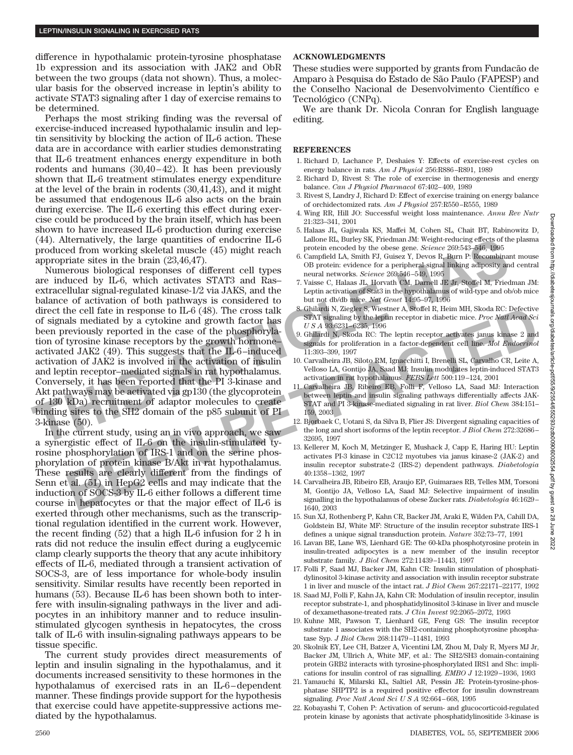difference in hypothalamic protein-tyrosine phosphatase 1b expression and its association with JAK2 and ObR between the two groups (data not shown). Thus, a molecular basis for the observed increase in leptin's ability to activate STAT3 signaling after 1 day of exercise remains to be determined.

Perhaps the most striking finding was the reversal of exercise-induced increased hypothalamic insulin and leptin sensitivity by blocking the action of IL-6 action. These data are in accordance with earlier studies demonstrating that IL-6 treatment enhances energy expenditure in both rodents and humans (30,40–42). It has been previously shown that IL-6 treatment stimulates energy expenditure at the level of the brain in rodents (30,41,43), and it might be assumed that endogenous IL-6 also acts on the brain during exercise. The IL-6 exerting this effect during exercise could be produced by the brain itself, which has been shown to have increased IL-6 production during exercise (44). Alternatively, the large quantities of endocrine IL-6 produced from working skeletal muscle (45) might reach appropriate sites in the brain (23,46,47).

Numerous biological responses of different cell types are induced by IL-6, which activates STAT3 and Ras– extracellular signal-regulated kinase-1/2 via JAKS, and the balance of activation of both pathways is considered to direct the cell fate in response to IL-6 (48). The cross talk of signals mediated by a cytokine and growth factor has been previously reported in the case of the phosphorylation of tyrosine kinase receptors by the growth hormone– activated JAK2 (49). This suggests that the IL-6–induced activation of JAK2 is involved in the activation of insulin and leptin receptor–mediated signals in rat hypothalamus. Conversely, it has been reported that the PI 3-kinase and Akt pathways may be activated via gp130 (the glycoprotein of 130 kDa) recruitment of adaptor molecules to create 3-kinase (50). (44). Alternatively, the large quantities or encodering H-O and the particle in the base are. Science 268-664-666 or appropriate sites in the brain  $R$  Moreover and the base are science 268-64-66 or appropriate sites in t From the cell fact in response to II-6 (48). The cross talk scheme is a state of the phase and growth factor last scheme in diabetic mice. Procharate New and Engine provides in the case of the phosphoryla eliminated by a

binding sites to the SH2 domain of the p85 subunit of PI<br>
3-kinase (50).<br>
In the current study, using an in vivo approach, we saw<br>
a synergistic effect of IL-6 on the insulin-stimulated ty-<br>
rosine phosphorylation of IRS-1 In the current study, using an in vivo approach, we saw a synergistic effect of IL-6 on the insulin-stimulated tyrosine phosphorylation of IRS-1 and on the serine phos phorylation of protein kinase B/Akt in rat hypothalamus. These results are clearly different from the findings of Senn et al. (51) in HepG2 cells and may indicate that the induction of SOCS-3 by IL-6 either follows a different time course in hepatocytes or that the major effect of IL-6 is exerted through other mechanisms, such as the transcriptional regulation identified in the current work. However, the recent finding (52) that a high IL-6 infusion for 2 h in rats did not reduce the insulin effect during a euglycemic clamp clearly supports the theory that any acute inhibitory effects of IL-6, mediated through a transient activation of SOCS-3, are of less importance for whole-body insulin sensitivity. Similar results have recently been reported in humans (53). Because IL-6 has been shown both to interfere with insulin-signaling pathways in the liver and adipocytes in an inhibitory manner and to reduce insulinstimulated glycogen synthesis in hepatocytes, the cross talk of IL-6 with insulin-signaling pathways appears to be tissue specific.

The current study provides direct measurements of leptin and insulin signaling in the hypothalamus, and it documents increased sensitivity to these hormones in the hypothalamus of exercised rats in an IL-6–dependent manner. These findings provide support for the hypothesis that exercise could have appetite-suppressive actions mediated by the hypothalamus.

## **ACKNOWLEDGMENTS**

These studies were supported by grants from Fundacão de Amparo à Pesquisa do Estado de São Paulo (FAPESP) and the Conselho Nacional de Desenvolvimento Científico e Tecnológico (CNPq).

We are thank Dr. Nicola Conran for English language editing.

#### **REFERENCES**

- 1. Richard D, Lachance P, Deshaies Y: Effects of exercise-rest cycles on energy balance in rats. *Am J Physiol* 256:R886–R891, 1989
- 2. Richard D, Rivest S: The role of exercise in thermogenesis and energy balance. *Can J Physiol Pharmacol* 67:402–409, 1989
- 3. Rivest S, Landry J, Richard D: Effect of exercise training on energy balance of orchidectomized rats. *Am J Physiol* 257:R550–R555, 1989
- 4. Wing RR, Hill JO: Successful weight loss maintenance. *Annu Rev Nutr* 21:323–341, 2001
- 5. Halaas JL, Gajiwala KS, Maffei M, Cohen SL, Chait BT, Rabinowitz D, Lallone RL, Burley SK, Friedman JM: Weight-reducing effects of the plasma protein encoded by the obese gene. *Science* 269:543–546, 1995
- 6. Campfield LA, Smith FJ, Guisez Y, Devos R, Burn P: Recombinant mouse OB protein: evidence for a peripheral signal linking adiposity and central neural networks. *Science* 269:546–549, 1995
- 7. Vaisse C, Halaas JL, Horvath CM, Darnell JE Jr, Stoffel M, Friedman JM: Leptin activation of Stat3 in the hypothalamus of wild-type and ob/ob mice but not db/db mice. *Nat Genet* 14:95–97, 1996
- 8. Ghilardi N, Ziegler S, Wiestner A, Stoffel R, Heim MH, Skoda RC: Defective STAT signaling by the leptin receptor in diabetic mice. *Proc Natl Acad Sci USA* 93:6231–6235, 1996
- 9. Ghilardi N, Skoda RC: The leptin receptor activates janus kinase 2 and signals for proliferation in a factor-dependent cell line. *Mol Endocrinol* 11:393–399, 1997
- 10. Carvalheira JB, Siloto RM, Ignacchitti I, Brenelli SL, Carvalho CR, Leite A, Velloso LA, Gontijo JA, Saad MJ: Insulin modulates leptin-induced STAT3 activation in rat hypothalamus. *FEBS Lett* 500:119–124, 2001
- 11. Carvalheira JB, Ribeiro EB, Folli F, Velloso LA, Saad MJ: Interaction between leptin and insulin signaling pathways differentially affects JAK-STAT and PI 3-kinase-mediated signaling in rat liver. *Biol Chem* 384:151– 159, 2003
- 12. Bjorbaek C, Uotani S, da Silva B, Flier JS: Divergent signaling capacities of the long and short isoforms of the leptin receptor. *J Biol Chem* 272:32686– 32695, 1997
- 13. Kellerer M, Koch M, Metzinger E, Mushack J, Capp E, Haring HU: Leptin activates PI-3 kinase in C2C12 myotubes via janus kinase-2 (JAK-2) and insulin receptor substrate-2 (IRS-2) dependent pathways. *Diabetologia* 40:1358–1362, 1997
- 14. Carvalheira JB, Ribeiro EB, Araujo EP, Guimaraes RB, Telles MM, Torsoni M, Gontijo JA, Velloso LA, Saad MJ: Selective impairment of insulin signalling in the hypothalamus of obese Zucker rats. *Diabetologia* 46:1629– 1640, 2003
- 15. Sun XJ, Rothenberg P, Kahn CR, Backer JM, Araki E, Wilden PA, Cahill DA, Goldstein BJ, White MF: Structure of the insulin receptor substrate IRS-1 defines a unique signal transduction protein. *Nature* 352:73–77, 1991
- 16. Lavan BE, Lane WS, Lienhard GE: The 60-kDa phosphotyrosine protein in insulin-treated adipocytes is a new member of the insulin receptor substrate family. *J Biol Chem* 272:11439–11443, 1997
- 17. Folli F, Saad MJ, Backer JM, Kahn CR: Insulin stimulation of phosphatidylinositol 3-kinase activity and association with insulin receptor substrate 1 in liver and muscle of the intact rat. *J Biol Chem* 267:22171–22177, 1992
- 18. Saad MJ, Folli F, Kahn JA, Kahn CR: Modulation of insulin receptor, insulin receptor substrate-1, and phosphatidylinositol 3-kinase in liver and muscle of dexamethasone-treated rats. *J Clin Invest* 92:2065–2072, 1993
- 19. Kuhne MR, Pawson T, Lienhard GE, Feng GS: The insulin receptor substrate 1 associates with the SH2-containing phosphotyrosine phosphatase Syp. *J Biol Chem* 268:11479–11481, 1993
- 20. Skolnik EY, Lee CH, Batzer A, Vicentini LM, Zhou M, Daly R, Myers MJ Jr, Backer JM, Ullrich A, White MF, et al.: The SH2/SH3 domain-containing protein GRB2 interacts with tyrosine-phosphorylated IRS1 and Shc: implications for insulin control of ras signalling. *EMBO J* 12:1929–1936, 1993
- 21. Yamauchi K, Milarski KL, Saltiel AR, Pessin JE: Protein-tyrosine-phosphatase SHPTP2 is a required positive effector for insulin downstream signaling. *Proc Natl Acad SciUSA* 92:664–668, 1995
- 22. Kobayashi T, Cohen P: Activation of serum- and glucocorticoid-regulated protein kinase by agonists that activate phosphatidylinositide 3-kinase is